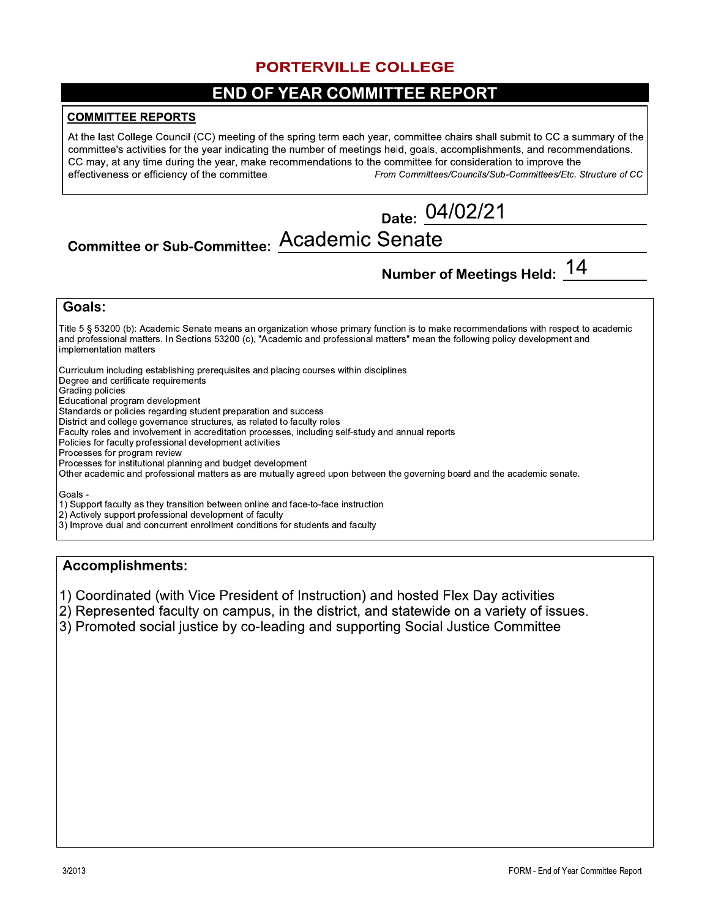## END OF YEAR COMMITTEE REPORT

## COMMITTEE REPORTS

OF YEAR COMMITTEE REPORT<br>
gof the spring term each year, committee chairs shall submit to CC a summary of the<br>
titing the number of meetings held, goals, accomplishments, and recommendations.<br>
kke recommendations to the co At the last College Council (CC) meeting of the spring term each year, committee chairs shall submit to CC a summary of the committee's activities for the year indicating the number of meetings held, goals, accomplishments, and recommendations. CC may, at any time during the year, make recommendations to the committee for consideration to improve the effectiveness or efficiency of the committee.<br>From Committees/Councils/Sub-Committees/Etc. 3 From Committees/Councils/Sub-Committees/Etc. Structure of CC

# Date: 04/02/21

# Committee or Sub-Committee: ACAdeMIC Senate

## Number of Meetings Held:  $\frac{14}{14}$

Title 5 § 53200 (b): Academic Senate means an organization whose primary function is to make recommendations with respect to academic and professional matters. In Sections 53200 (c), "Academic and professional matters" mean the following policy development and implementation matters

effectiveness or efficiency of the<br>
Committee or Sub-Com<br>
Title 5 § 53200 (b): Academic Senate m<br>
and professional matters. In Sections 5:<br>
implementation matters<br>
Curriculum including establishing prere<br>
Degree and certif Curriculum including establishing prerequisites and placing courses within disciplines Degree and certificate requirements Grading policies Educational program development Standards or policies regarding student preparation and success District and college governance structures, as related to faculty roles Faculty roles and involvement in accreditation processes, including self-study and annual reports Policies for faculty professional development activities Processes for program review Processes for institutional planning and budget development

Other academic and professional matters as are mutually agreed upon between the governing board and the academic senate.

 $\frac{6}{10}$ ais -

 $_{1}$ ) Support faculty as they transition between online and face-to-face instruction

2) Actively support professional development of faculty

3) Improve dual and concurrent enrollment conditions for students and faculty

#### Accomplishments:

1) Coordinated (with Vice President of Instruction) and hosted Flex Day activities

2) Represented faculty on campus, in the district, and statewide on a variety of issues.

3) Promoted social justice by co-leading and supporting Social Justice Committee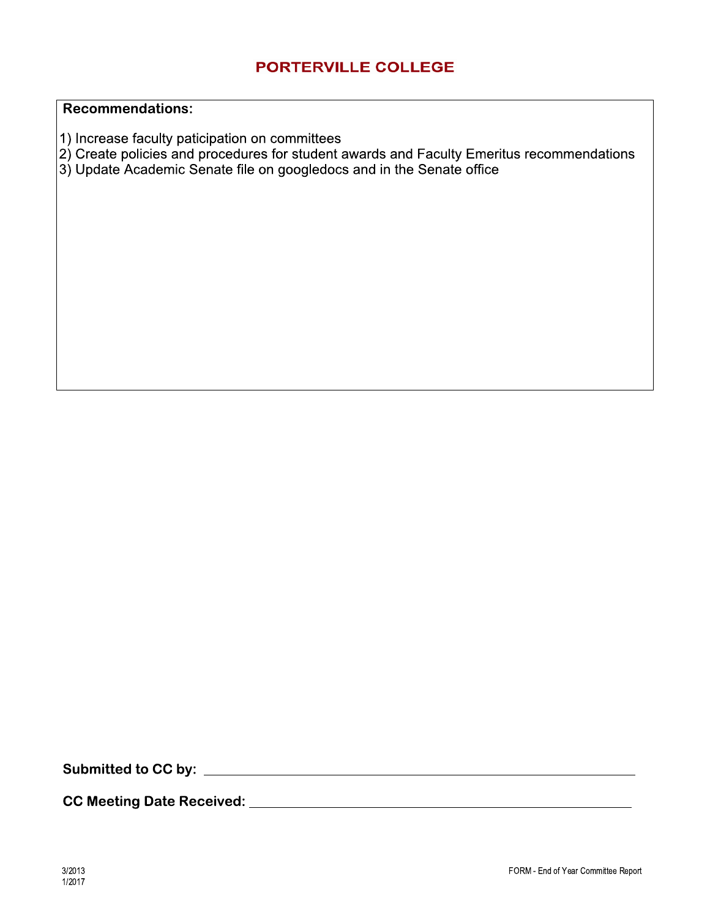- 1) Increase faculty paticipation on committees
- $|2\rangle$  Create policies and procedures for student awards and Faculty Emeritus recommendations
- PORT<br>
Recommendations:<br>
1) Increase faculty paticipation on com<br>
2) Create policies and procedures for s<br>
3) Update Academic Senate file on good<br>
2)  $\overline{3}$ ) Update Academic Senate file on googledocs and in the Senate office

+,-#('' %'"..-/\*00000000000000000000000000000000000000000000000000000000000000  $\begin{array}{l} \textbf{Submitted to CC by: } \end{array}$ <br> $\begin{array}{l} \textbf{SCM-End of Year Committee Report} \\ \textbf{1/2017} \end{array}$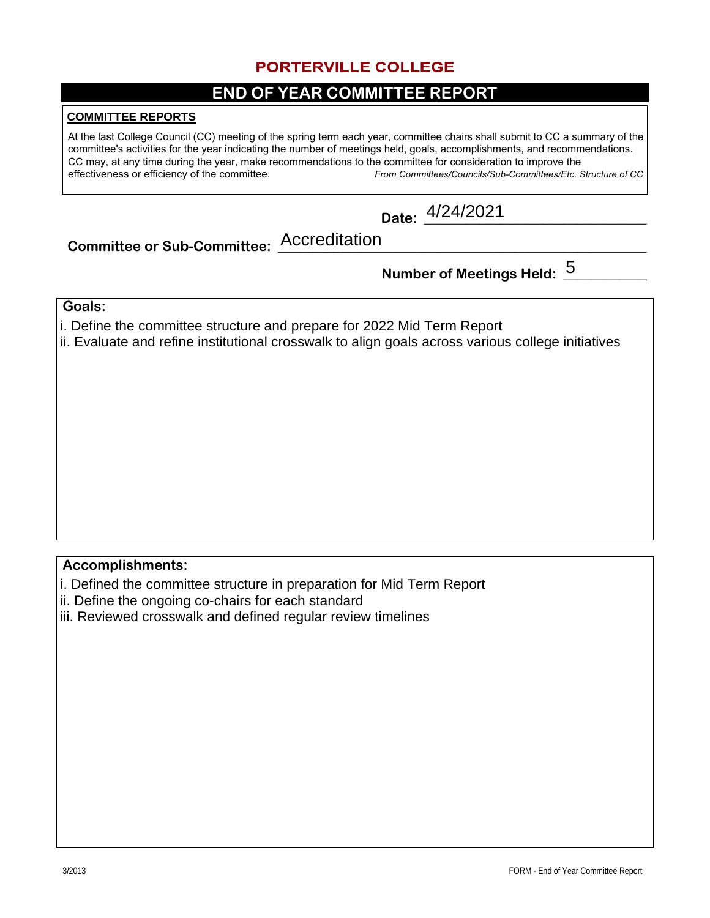## **END OF YEAR COMMITTEE REPORT**

#### **COMMITTEE REPORTS**

At the last College Council (CC) meeting of the spring term each year, committee chairs shall submit to CC a summary of the committee's activities for the year indicating the number of meetings held, goals, accomplishments, and recommendations. CC may, at any time during the year, make recommendations to the committee for consideration to improve the effectiveness or efficiency of the committee. *From Committees/Councils/Sub-Committees/Etc. Structure of CC*

**Date: \_\_\_\_\_\_\_\_\_\_\_\_\_\_\_\_\_\_\_\_\_\_\_\_\_\_\_\_\_\_\_\_**  4/24/2021

Committee or Sub-Committee: <u>Accreditation</u>

Number of Meetings Held: <sup>5</sup>

**Goals:**

- i. Define the committee structure and prepare for 2022 Mid Term Report
- ii. Evaluate and refine institutional crosswalk to align goals across various college initiatives

#### **Accomplishments:**

- i. Defined the committee structure in preparation for Mid Term Report
- ii. Define the ongoing co-chairs for each standard
- iii. Reviewed crosswalk and defined regular review timelines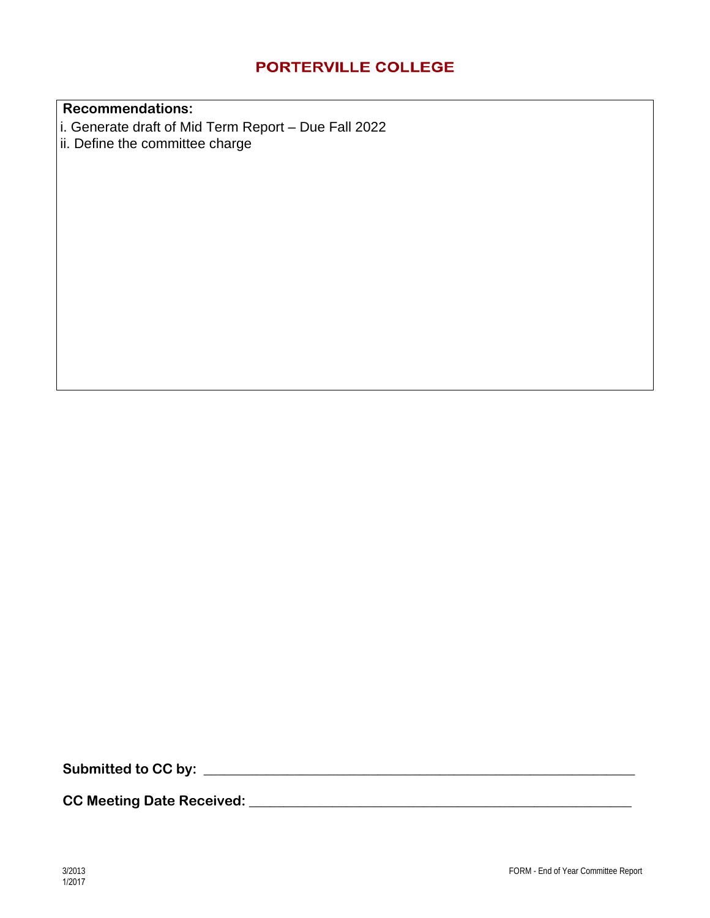#### **Recommendations:**

- i. Generate draft of Mid Term Report Due Fall 2022
- ii. Define the committee charge

**Submitted to CC by: \_\_\_\_\_\_\_\_\_\_\_\_\_\_\_\_\_\_\_\_\_\_\_\_\_\_\_\_\_\_\_\_\_\_\_\_\_\_\_\_\_\_\_\_\_\_\_\_\_\_\_\_\_\_\_\_\_\_\_\_\_\_**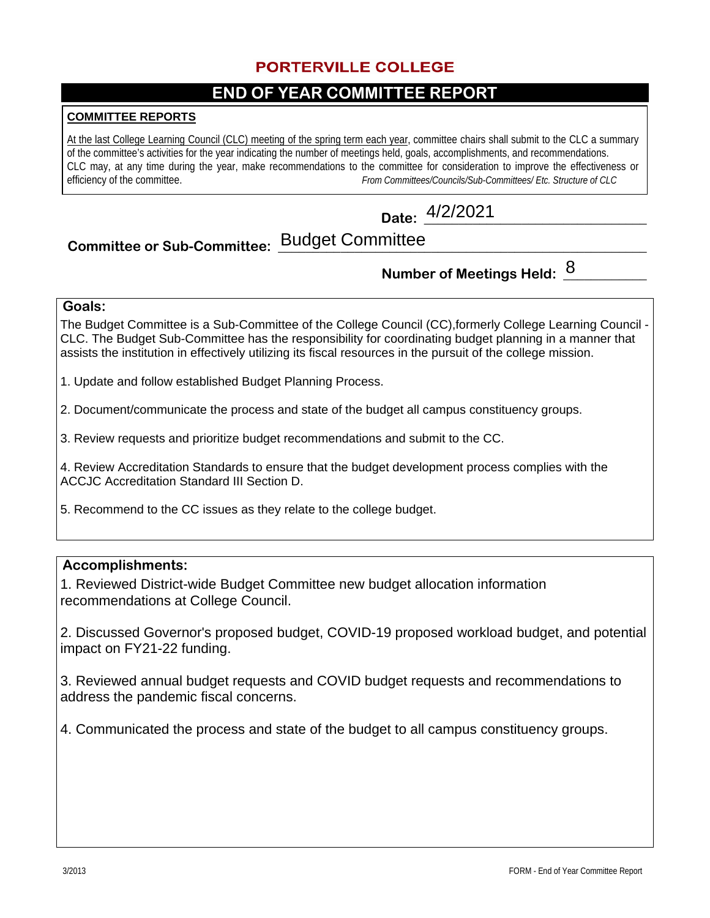## **END OF YEAR COMMITTEE REPORT**

#### **COMMITTEE REPORTS**

At the last College Learning Council (CLC) meeting of the spring term each year, committee chairs shall submit to the CLC a summary of the committee's activities for the year indicating the number of meetings held, goals, accomplishments, and recommendations. CLC may, at any time during the year, make recommendations to the committee for consideration to improve the effectiveness or efficiency of the committee.<br>From Committees/Councils/Sub-Committees/ Etc. Structure of CLC From Committees/Councils/Sub-Committees/ Etc. Structure of CLC

## **Date: \_\_\_\_\_\_\_\_\_\_\_\_\_\_\_\_\_\_\_\_\_\_\_\_\_\_\_\_\_\_\_\_** 4/2/2021

## **Committee or Sub-Committee: \_\_\_\_\_\_\_\_\_\_\_\_\_\_\_\_\_\_\_\_\_\_\_\_\_\_\_\_\_\_\_\_\_\_\_\_\_\_\_\_\_\_\_\_\_\_\_\_\_\_\_\_\_** Budget Committee

## Number of Meetings Held:  $\frac{8}{2}$

#### **Goals:**

The Budget Committee is a Sub-Committee of the College Council (CC),formerly College Learning Council - CLC. The Budget Sub-Committee has the responsibility for coordinating budget planning in a manner that assists the institution in effectively utilizing its fiscal resources in the pursuit of the college mission.

1. Update and follow established Budget Planning Process.

2. Document/communicate the process and state of the budget all campus constituency groups.

3. Review requests and prioritize budget recommendations and submit to the CC.

4. Review Accreditation Standards to ensure that the budget development process complies with the ACCJC Accreditation Standard III Section D.

5. Recommend to the CC issues as they relate to the college budget.

#### **Accomplishments:**

1. Reviewed District-wide Budget Committee new budget allocation information recommendations at College Council.

2. Discussed Governor's proposed budget, COVID-19 proposed workload budget, and potential impact on FY21-22 funding.

3. Reviewed annual budget requests and COVID budget requests and recommendations to address the pandemic fiscal concerns.

4. Communicated the process and state of the budget to all campus constituency groups.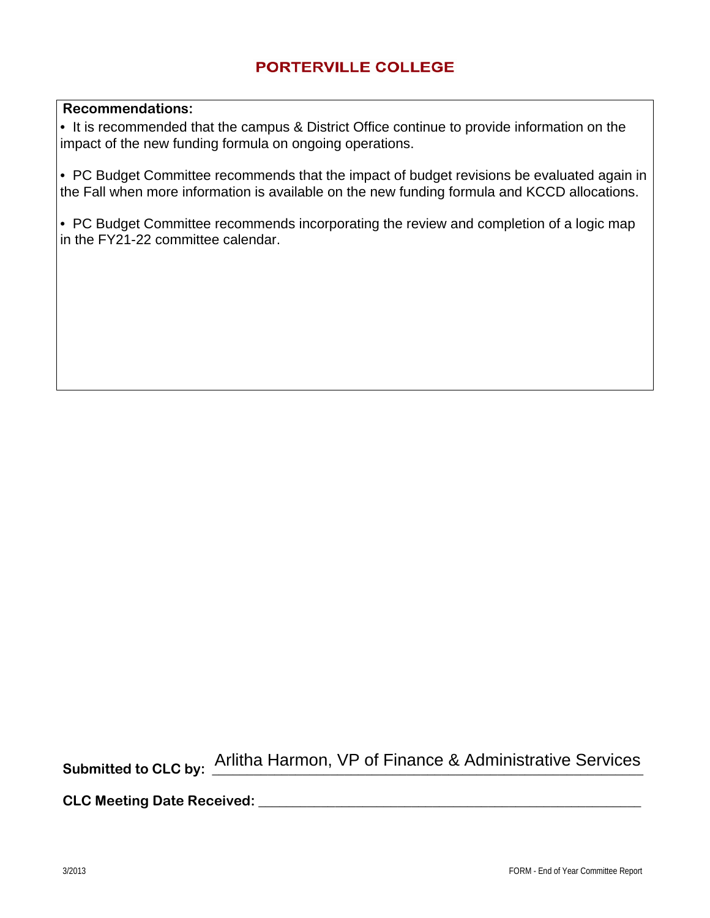#### **Recommendations:**

• It is recommended that the campus & District Office continue to provide information on the impact of the new funding formula on ongoing operations.

• PC Budget Committee recommends that the impact of budget revisions be evaluated again in the Fall when more information is available on the new funding formula and KCCD allocations.

• PC Budget Committee recommends incorporating the review and completion of a logic map in the FY21-22 committee calendar.

Submitted to CLC by: **Arlitha Harmon, VP of Finance & Administrative Services**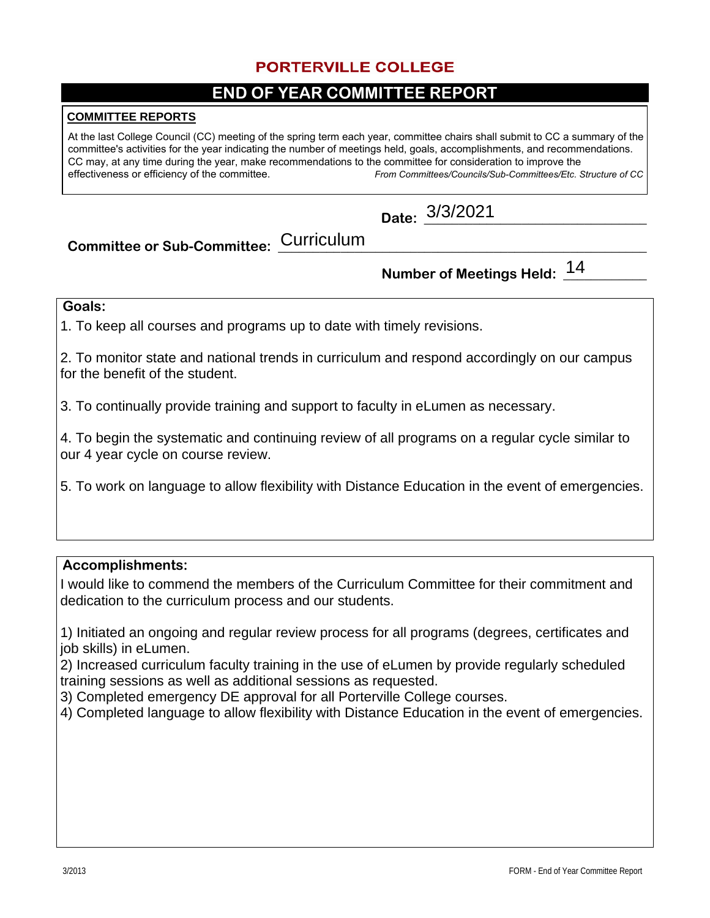## **END OF YEAR COMMITTEE REPORT**

#### **COMMITTEE REPORTS**

At the last College Council (CC) meeting of the spring term each year, committee chairs shall submit to CC a summary of the committee's activities for the year indicating the number of meetings held, goals, accomplishments, and recommendations. CC may, at any time during the year, make recommendations to the committee for consideration to improve the effectiveness or efficiency of the committee. *From Committees/Councils/Sub-Committees/Etc. Structure of CC*

**Date: \_\_\_\_\_\_\_\_\_\_\_\_\_\_\_\_\_\_\_\_\_\_\_\_\_\_\_\_\_\_\_\_**  3/3/2021

**Committee or Sub-Committee: \_\_\_\_\_\_\_\_\_\_\_\_\_\_\_\_\_\_\_\_\_\_\_\_\_\_\_\_\_\_\_\_\_\_\_\_\_\_\_\_\_\_\_\_\_\_\_\_\_\_\_\_\_**  Curriculum

## Number of Meetings Held: <sup>14</sup>

#### **Goals:**

1. To keep all courses and programs up to date with timely revisions.

2. To monitor state and national trends in curriculum and respond accordingly on our campus for the benefit of the student.

3. To continually provide training and support to faculty in eLumen as necessary.

4. To begin the systematic and continuing review of all programs on a regular cycle similar to our 4 year cycle on course review.

5. To work on language to allow flexibility with Distance Education in the event of emergencies.

#### **Accomplishments:**

I would like to commend the members of the Curriculum Committee for their commitment and dedication to the curriculum process and our students.

1) Initiated an ongoing and regular review process for all programs (degrees, certificates and job skills) in eLumen.

2) Increased curriculum faculty training in the use of eLumen by provide regularly scheduled training sessions as well as additional sessions as requested.

3) Completed emergency DE approval for all Porterville College courses.

4) Completed language to allow flexibility with Distance Education in the event of emergencies.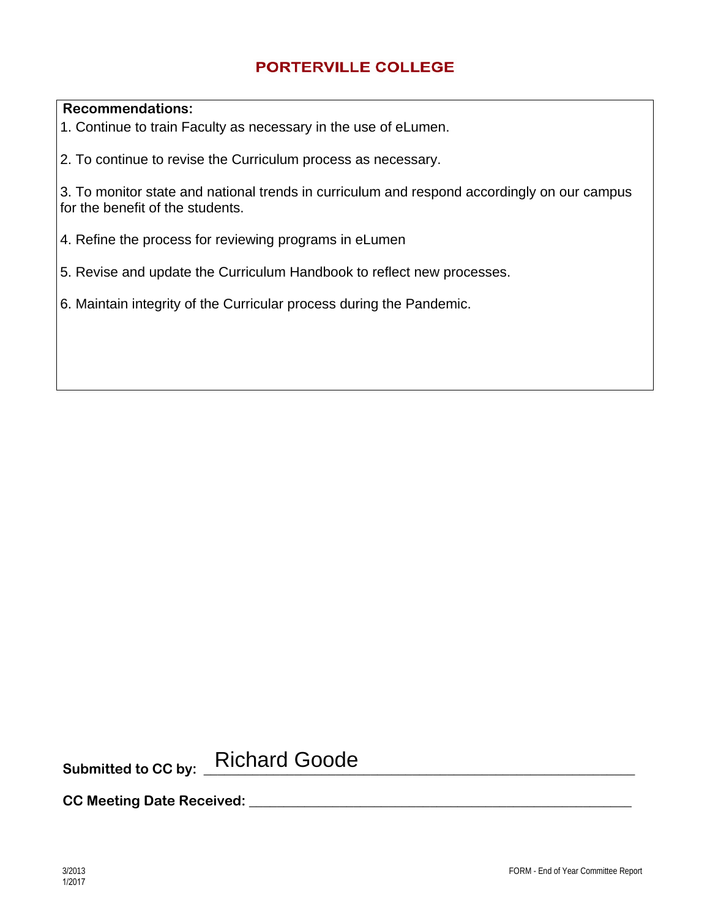#### **Recommendations:**

1. Continue to train Faculty as necessary in the use of eLumen.

2. To continue to revise the Curriculum process as necessary.

3. To monitor state and national trends in curriculum and respond accordingly on our campus for the benefit of the students.

- 4. Refine the process for reviewing programs in eLumen
- 5. Revise and update the Curriculum Handbook to reflect new processes.

6. Maintain integrity of the Curricular process during the Pandemic.

Submitted to CC by: Richard Goode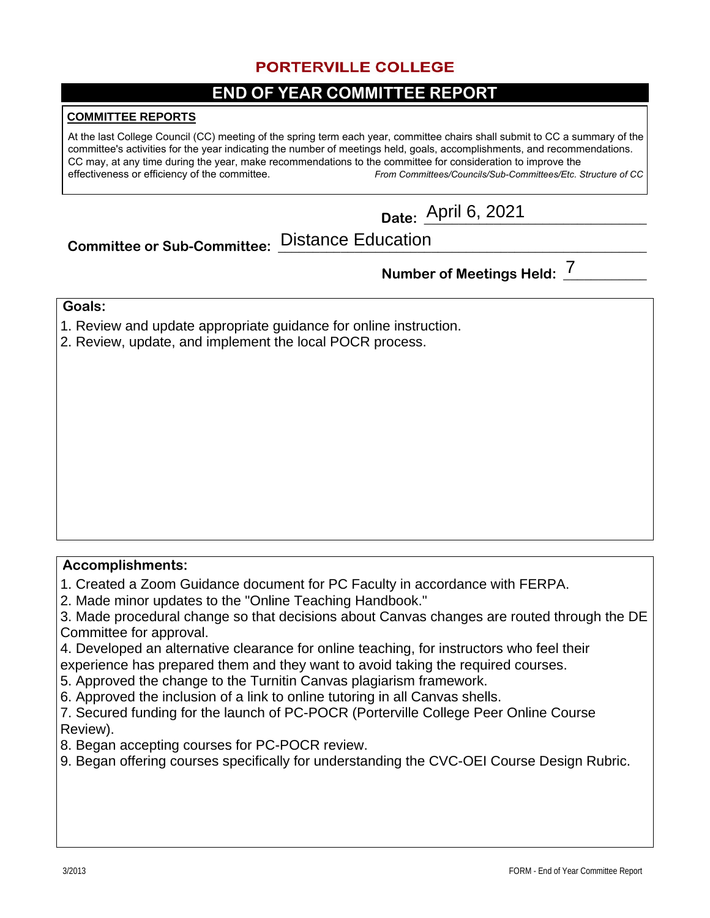## **END OF YEAR COMMITTEE REPORT**

#### **COMMITTEE REPORTS**

At the last College Council (CC) meeting of the spring term each year, committee chairs shall submit to CC a summary of the committee's activities for the year indicating the number of meetings held, goals, accomplishments, and recommendations. CC may, at any time during the year, make recommendations to the committee for consideration to improve the effectiveness or efficiency of the committee. *From Committees/Councils/Sub-Committees/Etc. Structure of CC*

## **Date: \_\_\_\_\_\_\_\_\_\_\_\_\_\_\_\_\_\_\_\_\_\_\_\_\_\_\_\_\_\_\_\_**  April 6, 2021

## **Committee or Sub-Committee: \_\_\_\_\_\_\_\_\_\_\_\_\_\_\_\_\_\_\_\_\_\_\_\_\_\_\_\_\_\_\_\_\_\_\_\_\_\_\_\_\_\_\_\_\_\_\_\_\_\_\_\_\_**  Distance Education

## Number of Meetings Held: 7

**Goals:**

- 1. Review and update appropriate guidance for online instruction.
- 2. Review, update, and implement the local POCR process.

#### **Accomplishments:**

- 1. Created a Zoom Guidance document for PC Faculty in accordance with FERPA.
- 2. Made minor updates to the "Online Teaching Handbook."
- 3. Made procedural change so that decisions about Canvas changes are routed through the DE Committee for approval.
- 4. Developed an alternative clearance for online teaching, for instructors who feel their
- experience has prepared them and they want to avoid taking the required courses.
- 5. Approved the change to the Turnitin Canvas plagiarism framework.
- 6. Approved the inclusion of a link to online tutoring in all Canvas shells.
- 7. Secured funding for the launch of PC-POCR (Porterville College Peer Online Course Review).
- 8. Began accepting courses for PC-POCR review.
- 9. Began offering courses specifically for understanding the CVC-OEI Course Design Rubric.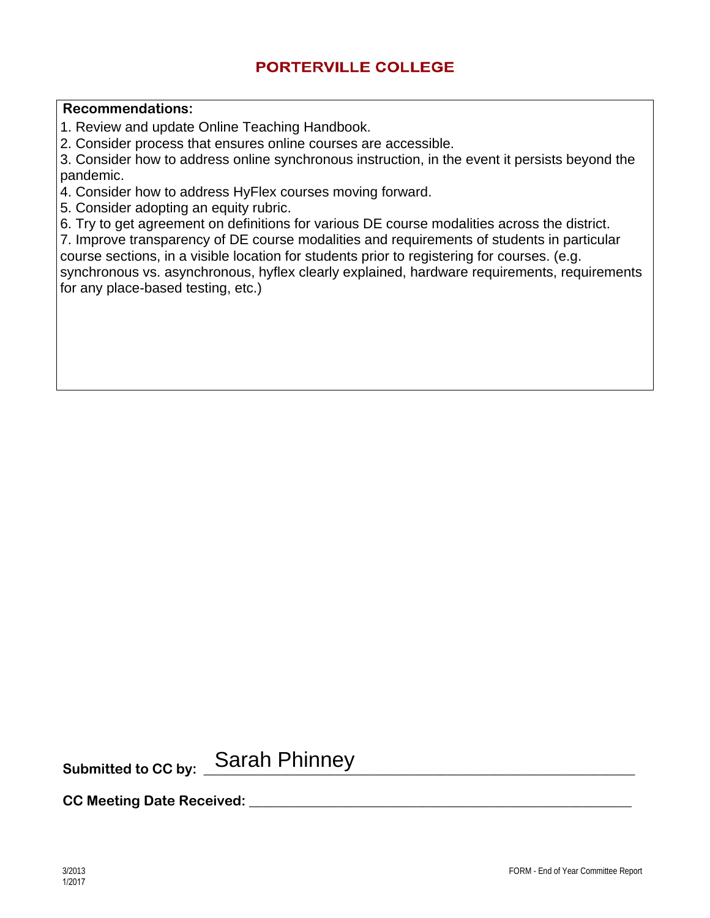#### **Recommendations:**

1. Review and update Online Teaching Handbook.

2. Consider process that ensures online courses are accessible.

3. Consider how to address online synchronous instruction, in the event it persists beyond the pandemic.

4. Consider how to address HyFlex courses moving forward.

- 5. Consider adopting an equity rubric.
- 6. Try to get agreement on definitions for various DE course modalities across the district.

7. Improve transparency of DE course modalities and requirements of students in particular course sections, in a visible location for students prior to registering for courses. (e.g.

synchronous vs. asynchronous, hyflex clearly explained, hardware requirements, requirements for any place-based testing, etc.)

Submitted to CC by: Sarah Phinney

CC Meeting Date Received: **We are all assets a set of the set of the set of the set of the set of the set of the set of the set of the set of the set of the set of the set of the set of the set of the set of the set of the**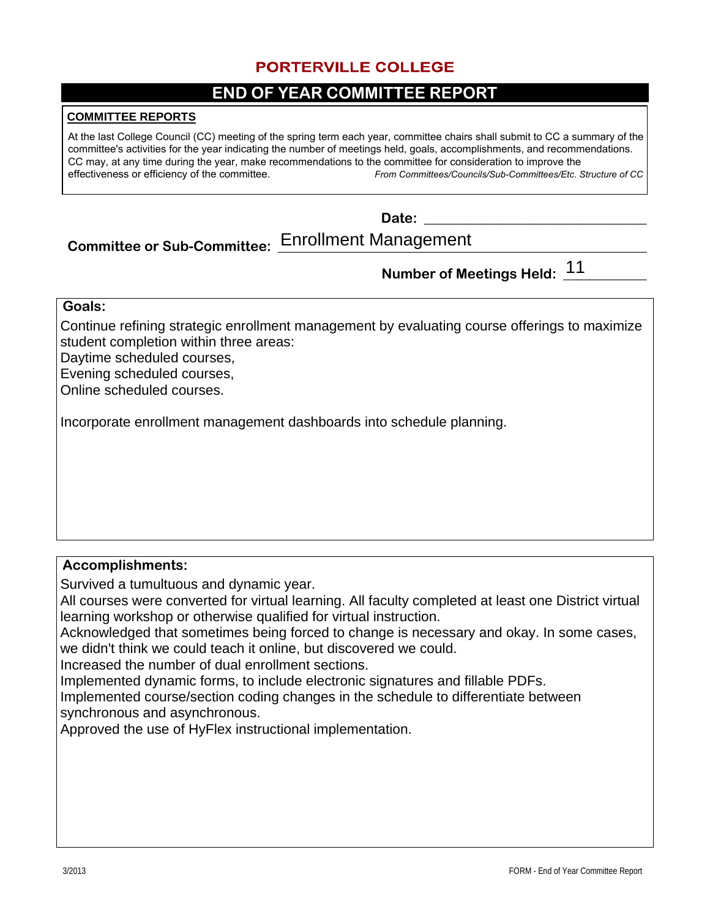## **END OF YEAR COMMITTEE REPORT**

#### **COMMITTEE REPORTS**

At the last College Council (CC) meeting of the spring term each year, committee chairs shall submit to CC a summary of the committee's activities for the year indicating the number of meetings held, goals, accomplishments, and recommendations. CC may, at any time during the year, make recommendations to the committee for consideration to improve the effectiveness or efficiency of the committee. *From Committees/Councils/Sub-Committees/Etc. Structure of CC*

Date:

## Committee or Sub-Committee: Enrollment Management

## Number of Meetings Held: <sup>11</sup>

**Goals:**

Continue refining strategic enrollment management by evaluating course offerings to maximize student completion within three areas:

Daytime scheduled courses,

Evening scheduled courses,

Online scheduled courses.

Incorporate enrollment management dashboards into schedule planning.

#### **Accomplishments:**

Survived a tumultuous and dynamic year.

All courses were converted for virtual learning. All faculty completed at least one District virtual learning workshop or otherwise qualified for virtual instruction.

Acknowledged that sometimes being forced to change is necessary and okay. In some cases, we didn't think we could teach it online, but discovered we could.

Increased the number of dual enrollment sections.

Implemented dynamic forms, to include electronic signatures and fillable PDFs.

Implemented course/section coding changes in the schedule to differentiate between synchronous and asynchronous.

Approved the use of HyFlex instructional implementation.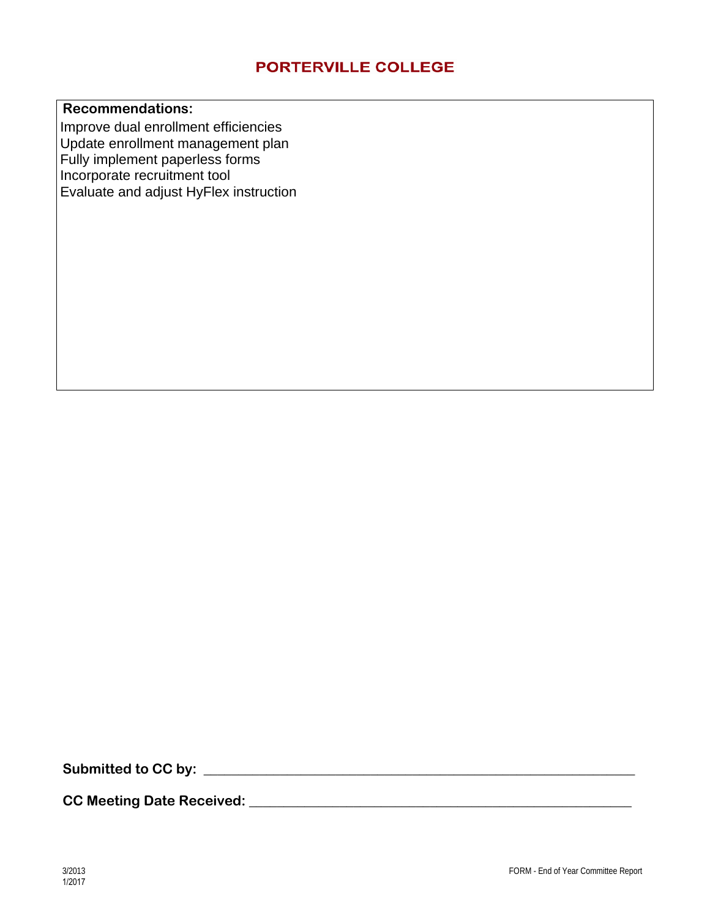#### **Recommendations:**

Improve dual enrollment efficiencies Update enrollment management plan Fully implement paperless forms Incorporate recruitment tool Evaluate and adjust HyFlex instruction

**Submitted to CC by: \_\_\_\_\_\_\_\_\_\_\_\_\_\_\_\_\_\_\_\_\_\_\_\_\_\_\_\_\_\_\_\_\_\_\_\_\_\_\_\_\_\_\_\_\_\_\_\_\_\_\_\_\_\_\_\_\_\_\_\_\_\_**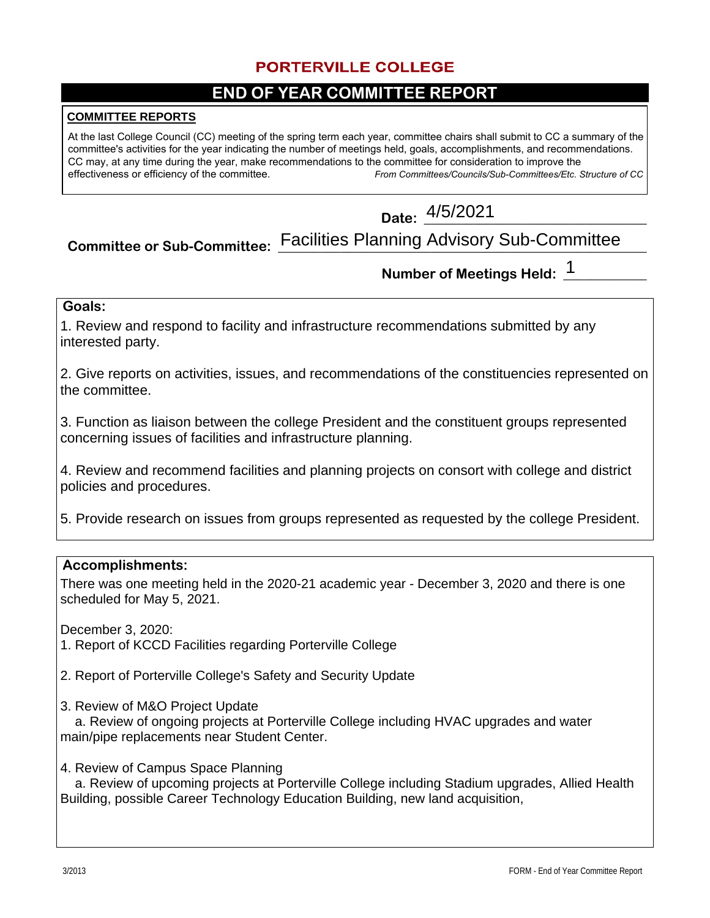## **END OF YEAR COMMITTEE REPORT**

#### **COMMITTEE REPORTS**

At the last College Council (CC) meeting of the spring term each year, committee chairs shall submit to CC a summary of the committee's activities for the year indicating the number of meetings held, goals, accomplishments, and recommendations. CC may, at any time during the year, make recommendations to the committee for consideration to improve the effectiveness or efficiency of the committee. *From Committees/Councils/Sub-Committees/Etc. Structure of CC*

**Date: \_\_\_\_\_\_\_\_\_\_\_\_\_\_\_\_\_\_\_\_\_\_\_\_\_\_\_\_\_\_\_\_**  4/5/2021

## Committee or Sub-Committee: Facilities Planning Advisory Sub-Committee

## Number of Meetings Held: <sup>1</sup>

#### **Goals:**

1. Review and respond to facility and infrastructure recommendations submitted by any interested party.

2. Give reports on activities, issues, and recommendations of the constituencies represented on the committee.

3. Function as liaison between the college President and the constituent groups represented concerning issues of facilities and infrastructure planning.

4. Review and recommend facilities and planning projects on consort with college and district policies and procedures.

5. Provide research on issues from groups represented as requested by the college President.

#### **Accomplishments:**

There was one meeting held in the 2020-21 academic year - December 3, 2020 and there is one scheduled for May 5, 2021.

December 3, 2020: 1. Report of KCCD Facilities regarding Porterville College

- 2. Report of Porterville College's Safety and Security Update
- 3. Review of M&O Project Update

 a. Review of ongoing projects at Porterville College including HVAC upgrades and water main/pipe replacements near Student Center.

4. Review of Campus Space Planning

 a. Review of upcoming projects at Porterville College including Stadium upgrades, Allied Health Building, possible Career Technology Education Building, new land acquisition,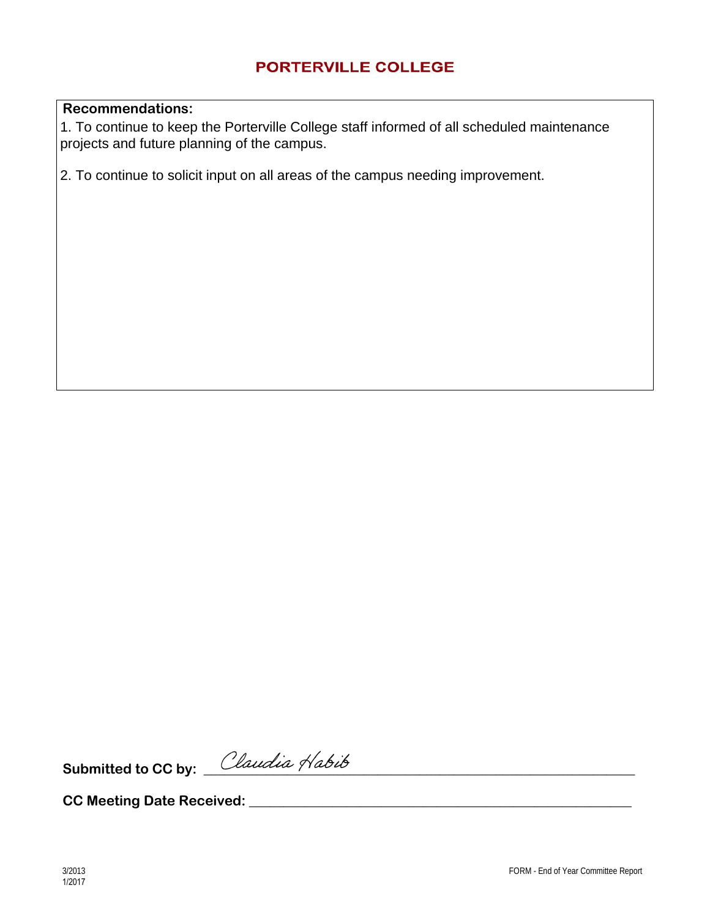#### **Recommendations:**

1. To continue to keep the Porterville College staff informed of all scheduled maintenance projects and future planning of the campus.

2. To continue to solicit input on all areas of the campus needing improvement.

Submitted to CC by: Claudia Habib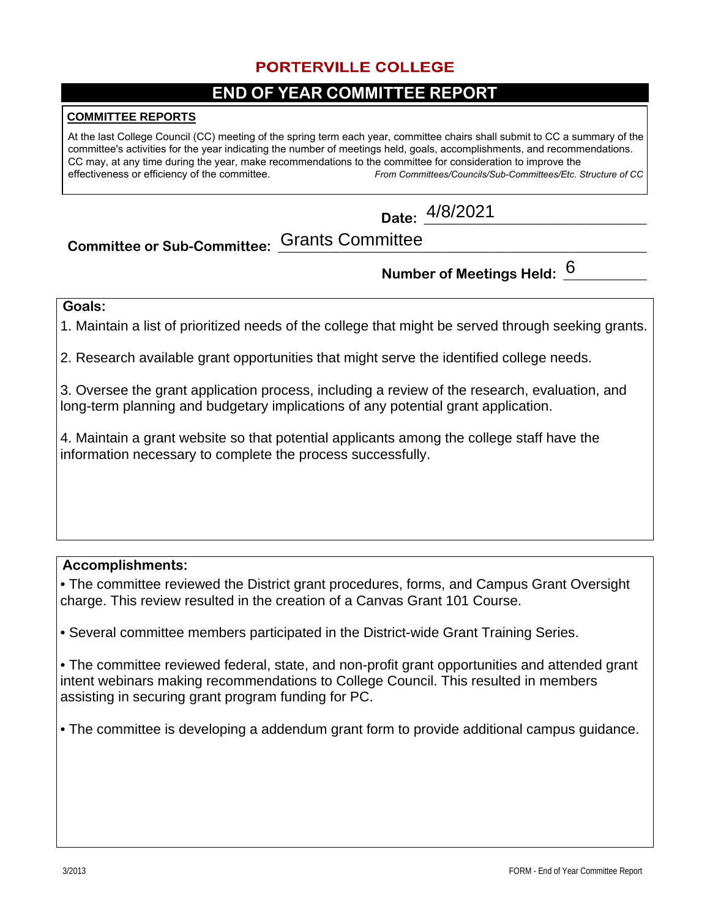## **END OF YEAR COMMITTEE REPORT**

#### **COMMITTEE REPORTS**

At the last College Council (CC) meeting of the spring term each year, committee chairs shall submit to CC a summary of the committee's activities for the year indicating the number of meetings held, goals, accomplishments, and recommendations. CC may, at any time during the year, make recommendations to the committee for consideration to improve the effectiveness or efficiency of the committee. *From Committees/Councils/Sub-Committees/Etc. Structure of CC*

**Date: \_\_\_\_\_\_\_\_\_\_\_\_\_\_\_\_\_\_\_\_\_\_\_\_\_\_\_\_\_\_\_\_**  4/8/2021

## **Committee or Sub-Committee: \_\_\_\_\_\_\_\_\_\_\_\_\_\_\_\_\_\_\_\_\_\_\_\_\_\_\_\_\_\_\_\_\_\_\_\_\_\_\_\_\_\_\_\_\_\_\_\_\_\_\_\_\_**  Grants Committee

## Number of Meetings Held: <u>6</u>

#### **Goals:**

1. Maintain a list of prioritized needs of the college that might be served through seeking grants.

2. Research available grant opportunities that might serve the identified college needs.

3. Oversee the grant application process, including a review of the research, evaluation, and long-term planning and budgetary implications of any potential grant application.

4. Maintain a grant website so that potential applicants among the college staff have the information necessary to complete the process successfully.

#### **Accomplishments:**

• The committee reviewed the District grant procedures, forms, and Campus Grant Oversight charge. This review resulted in the creation of a Canvas Grant 101 Course.

• Several committee members participated in the District-wide Grant Training Series.

• The committee reviewed federal, state, and non-profit grant opportunities and attended grant intent webinars making recommendations to College Council. This resulted in members assisting in securing grant program funding for PC.

• The committee is developing a addendum grant form to provide additional campus guidance.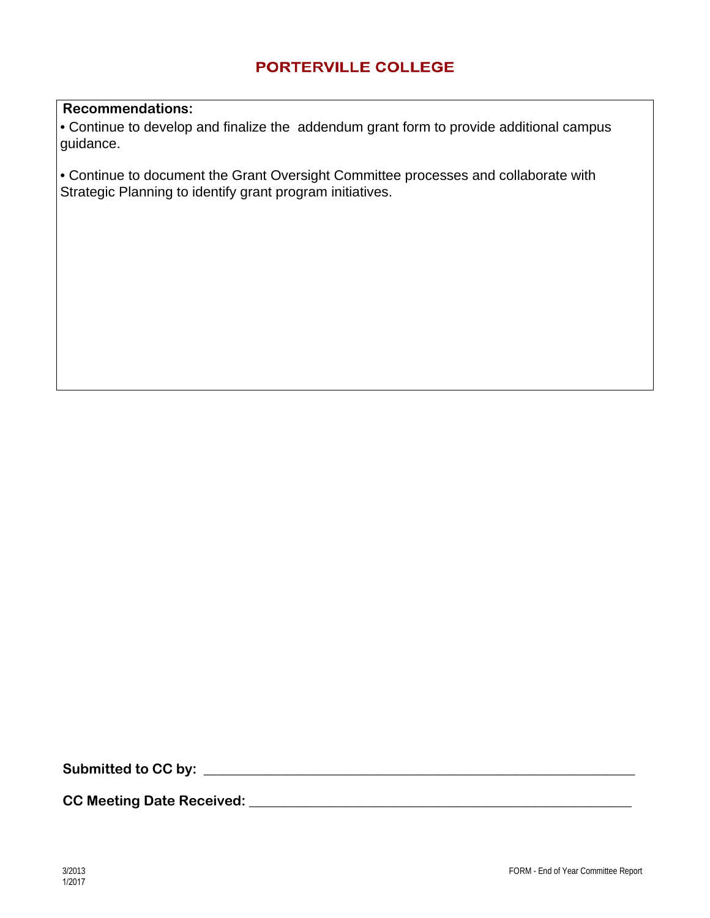#### **Recommendations:**

• Continue to develop and finalize the addendum grant form to provide additional campus guidance.

• Continue to document the Grant Oversight Committee processes and collaborate with Strategic Planning to identify grant program initiatives.

**Submitted to CC by: \_\_\_\_\_\_\_\_\_\_\_\_\_\_\_\_\_\_\_\_\_\_\_\_\_\_\_\_\_\_\_\_\_\_\_\_\_\_\_\_\_\_\_\_\_\_\_\_\_\_\_\_\_\_\_\_\_\_\_\_\_\_**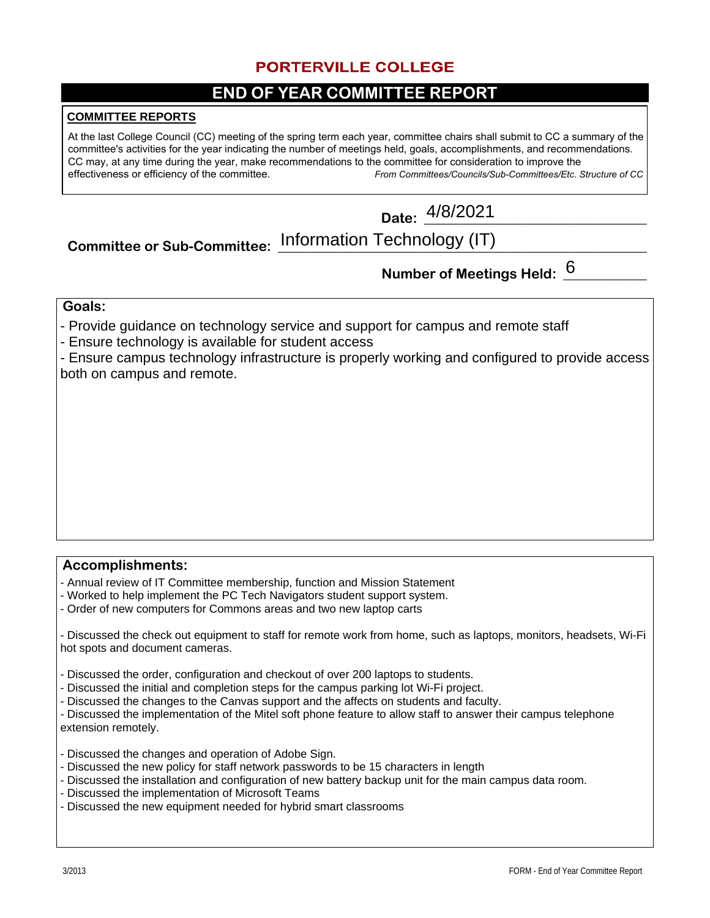## **END OF YEAR COMMITTEE REPORT**

#### **COMMITTEE REPORTS**

At the last College Council (CC) meeting of the spring term each year, committee chairs shall submit to CC a summary of the committee's activities for the year indicating the number of meetings held, goals, accomplishments, and recommendations. CC may, at any time during the year, make recommendations to the committee for consideration to improve the effectiveness or efficiency of the committee. *From Committees/Councils/Sub-Committees/Etc. Structure of CC*

**Date: \_\_\_\_\_\_\_\_\_\_\_\_\_\_\_\_\_\_\_\_\_\_\_\_\_\_\_\_\_\_\_\_**  4/8/2021

Committee or Sub-Committee: Information Technology (IT) Names and Sub-

## Number of Meetings Held: <u>6</u>

#### **Goals:**

- Provide guidance on technology service and support for campus and remote staff

- Ensure technology is available for student access

- Ensure campus technology infrastructure is properly working and configured to provide access both on campus and remote.

#### **Accomplishments:**

- Annual review of IT Committee membership, function and Mission Statement
- Worked to help implement the PC Tech Navigators student support system.
- Order of new computers for Commons areas and two new laptop carts

- Discussed the check out equipment to staff for remote work from home, such as laptops, monitors, headsets, Wi-Fi hot spots and document cameras.

- Discussed the order, configuration and checkout of over 200 laptops to students.
- Discussed the initial and completion steps for the campus parking lot Wi-Fi project.
- Discussed the changes to the Canvas support and the affects on students and faculty.

- Discussed the implementation of the Mitel soft phone feature to allow staff to answer their campus telephone extension remotely.

- Discussed the changes and operation of Adobe Sign.
- Discussed the new policy for staff network passwords to be 15 characters in length
- Discussed the installation and configuration of new battery backup unit for the main campus data room.
- Discussed the implementation of Microsoft Teams
- Discussed the new equipment needed for hybrid smart classrooms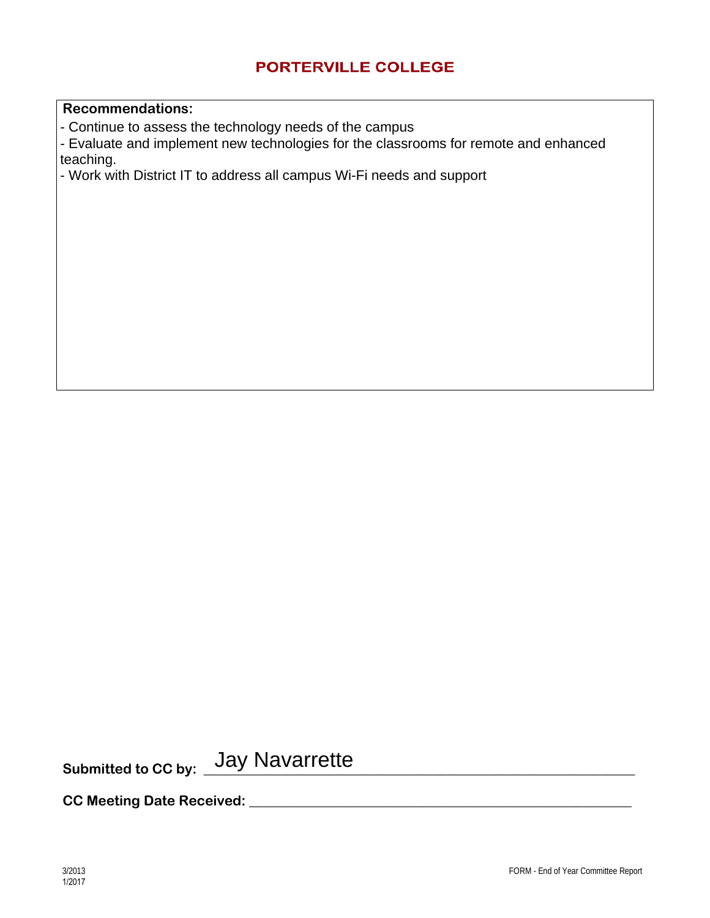#### **Recommendations:**

- Continue to assess the technology needs of the campus

- Evaluate and implement new technologies for the classrooms for remote and enhanced teaching.

- Work with District IT to address all campus Wi-Fi needs and support

Submitted to CC by: <u>Jay Navarrette</u>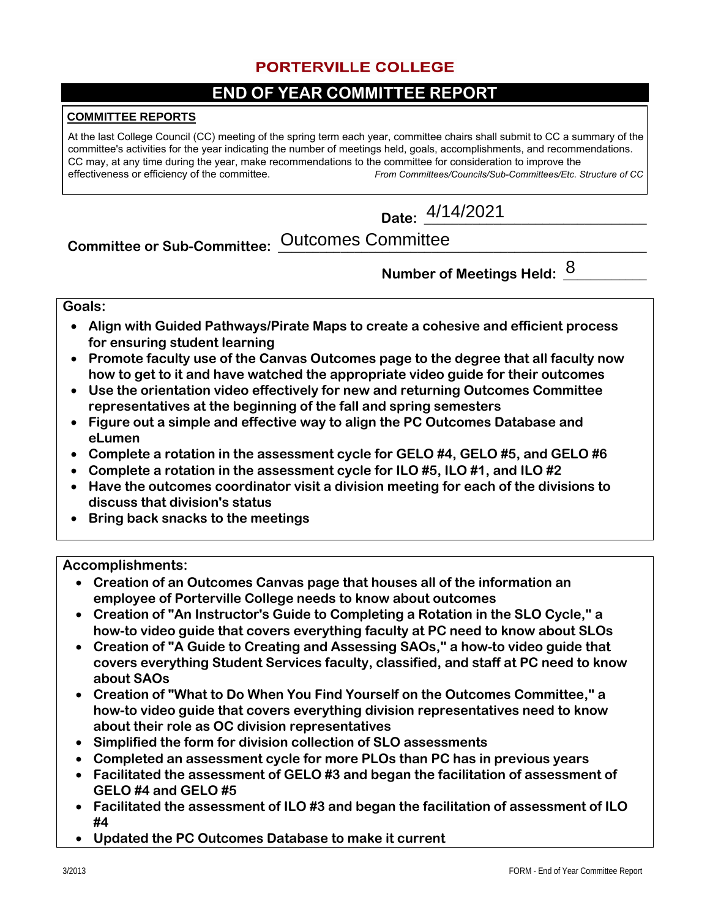## **END OF YEAR COMMITTEE REPORT**

#### **COMMITTEE REPORTS**

At the last College Council (CC) meeting of the spring term each year, committee chairs shall submit to CC a summary of the committee's activities for the year indicating the number of meetings held, goals, accomplishments, and recommendations. CC may, at any time during the year, make recommendations to the committee for consideration to improve the effectiveness or efficiency of the committee. *From Committees/Councils/Sub-Committees/Etc. Structure of CC*

**Date: \_\_\_\_\_\_\_\_\_\_\_\_\_\_\_\_\_\_\_\_\_\_\_\_\_\_\_\_\_\_\_\_**  4/14/2021

**Committee or Sub-Committee: Outcomes Committee 200000000000000000000000000000000** 

Number of Meetings Held: <sup>8</sup>

**Goals:**

- **Align with Guided Pathways/Pirate Maps to create a cohesive and efficient process for ensuring student learning**
- **Promote faculty use of the Canvas Outcomes page to the degree that all faculty now how to get to it and have watched the appropriate video guide for their outcomes**
- **Use the orientation video effectively for new and returning Outcomes Committee representatives at the beginning of the fall and spring semesters**
- **Figure out a simple and effective way to align the PC Outcomes Database and eLumen**
- **Complete a rotation in the assessment cycle for GELO #4, GELO #5, and GELO #6**
- **Complete a rotation in the assessment cycle for ILO #5, ILO #1, and ILO #2**
- **Have the outcomes coordinator visit a division meeting for each of the divisions to discuss that division's status**
- **Bring back snacks to the meetings**

#### **Accomplishments:**

- **Creation of an Outcomes Canvas page that houses all of the information an employee of Porterville College needs to know about outcomes**
- **Creation of "An Instructor's Guide to Completing a Rotation in the SLO Cycle," a how-to video guide that covers everything faculty at PC need to know about SLOs**
- **Creation of "A Guide to Creating and Assessing SAOs," a how-to video guide that covers everything Student Services faculty, classified, and staff at PC need to know about SAOs**
- **Creation of "What to Do When You Find Yourself on the Outcomes Committee," a how-to video guide that covers everything division representatives need to know about their role as OC division representatives**
- **Simplified the form for division collection of SLO assessments**
- **Completed an assessment cycle for more PLOs than PC has in previous years**
- **Facilitated the assessment of GELO #3 and began the facilitation of assessment of GELO #4 and GELO #5**
- **Facilitated the assessment of ILO #3 and began the facilitation of assessment of ILO #4**
- **Updated the PC Outcomes Database to make it current**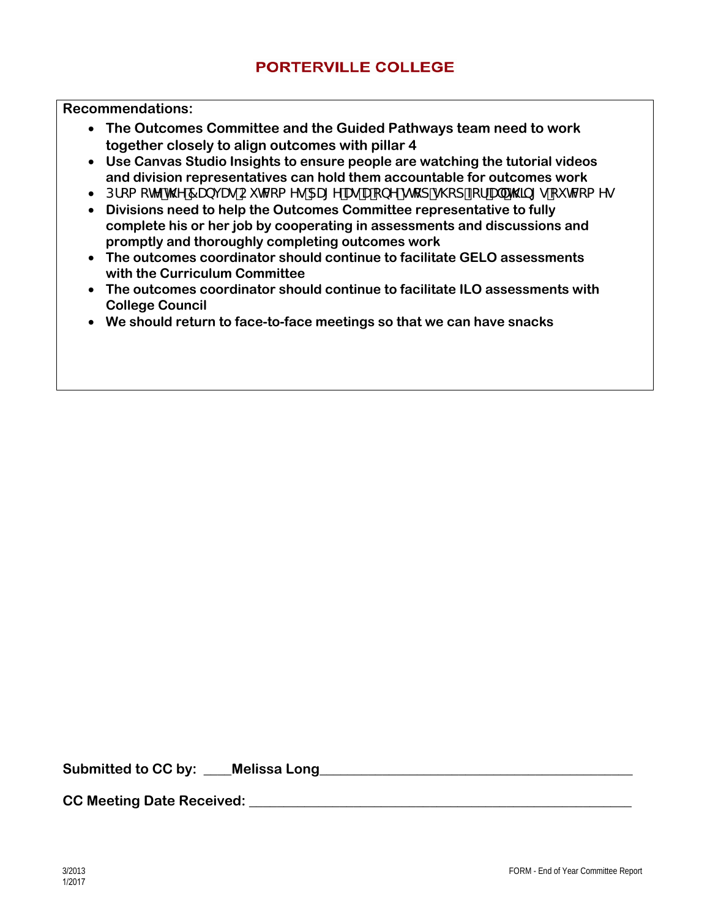**Recommendations:** 

- **The Outcomes Committee and the Guided Pathways team need to work together closely to align outcomes with pillar 4**
- **Use Canvas Studio Insights to ensure people are watching the tutorial videos and division representatives can hold them accountable for outcomes work**
- DfcachY'h Y'7 Ubj Ug'Ci hWca Yg'dUJ Y'Ug'U'cbY!ghcd'g\cd'Zcf'U`'h lbj g'ci hWca Yg
- **Divisions need to help the Outcomes Committee representative to fully complete his or her job by cooperating in assessments and discussions and promptly and thoroughly completing outcomes work**
- **The outcomes coordinator should continue to facilitate GELO assessments with the Curriculum Committee**
- **The outcomes coordinator should continue to facilitate ILO assessments with College Council**
- **We should return to face-to-face meetings so that we can have snacks**

**Submitted to CC by: \_\_\_\_Melissa Long\_\_\_\_\_\_\_\_\_\_\_\_\_\_\_\_\_\_\_\_\_\_\_\_\_\_\_\_\_\_\_\_\_\_\_\_\_\_\_\_\_\_\_\_\_**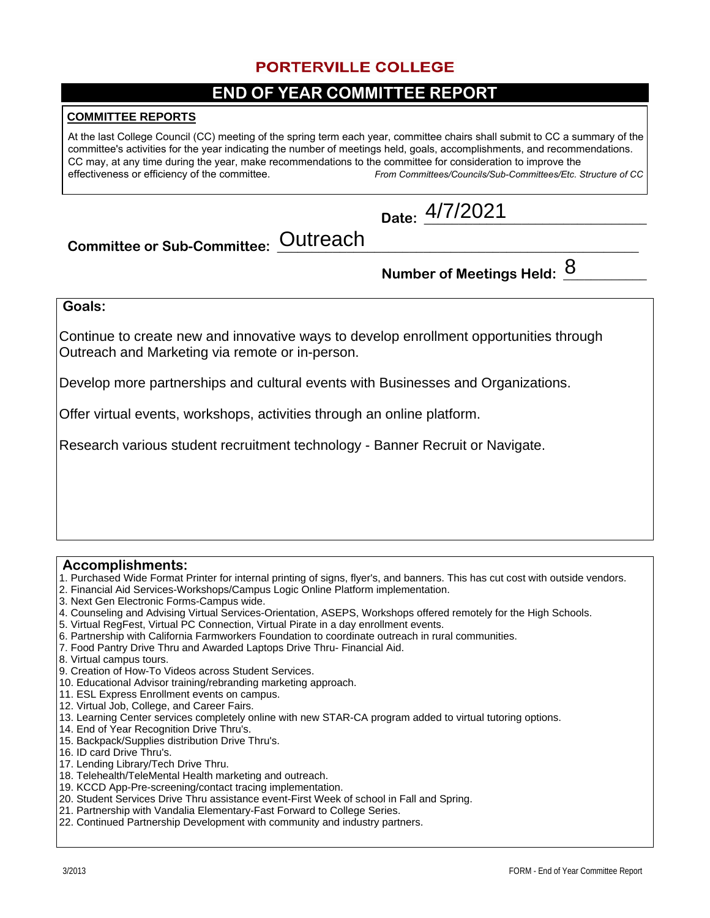## **END OF YEAR COMMITTEE REPORT**

#### **COMMITTEE REPORTS**

At the last College Council (CC) meeting of the spring term each year, committee chairs shall submit to CC a summary of the committee's activities for the year indicating the number of meetings held, goals, accomplishments, and recommendations. CC may, at any time during the year, make recommendations to the committee for consideration to improve the effectiveness or efficiency of the committee. *From Committees/Councils/Sub-Committees/Etc. Structure of CC*

**Date: \_\_\_\_\_\_\_\_\_\_\_\_\_\_\_\_\_\_\_\_\_\_\_\_\_\_\_\_\_\_\_\_**  4/7/2021

**Committee or Sub-Committee: \_\_\_\_\_\_\_\_\_\_\_\_\_\_\_\_\_\_\_\_\_\_\_\_\_\_\_\_\_\_\_\_\_\_\_\_\_\_\_\_\_\_\_\_\_\_\_\_\_\_\_\_** 

# Outreach<br>
Number of Meetings Held: 8

**Goals:**

Continue to create new and innovative ways to develop enrollment opportunities through Outreach and Marketing via remote or in-person.

Develop more partnerships and cultural events with Businesses and Organizations.

Offer virtual events, workshops, activities through an online platform.

Research various student recruitment technology - Banner Recruit or Navigate.

#### **Accomplishments:**

- 1. Purchased Wide Format Printer for internal printing of signs, flyer's, and banners. This has cut cost with outside vendors.
- 2. Financial Aid Services-Workshops/Campus Logic Online Platform implementation.
- 3. Next Gen Electronic Forms-Campus wide.
- 4. Counseling and Advising Virtual Services-Orientation, ASEPS, Workshops offered remotely for the High Schools.
- 5. Virtual RegFest, Virtual PC Connection, Virtual Pirate in a day enrollment events.
- 6. Partnership with California Farmworkers Foundation to coordinate outreach in rural communities.
- 7. Food Pantry Drive Thru and Awarded Laptops Drive Thru- Financial Aid.
- 8. Virtual campus tours.
- 9. Creation of How-To Videos across Student Services.
- 10. Educational Advisor training/rebranding marketing approach.
- 11. ESL Express Enrollment events on campus.
- 12. Virtual Job, College, and Career Fairs.
- 13. Learning Center services completely online with new STAR-CA program added to virtual tutoring options.
- 14. End of Year Recognition Drive Thru's.
- 15. Backpack/Supplies distribution Drive Thru's.
- 16. ID card Drive Thru's.
- 17. Lending Library/Tech Drive Thru.
- 18. Telehealth/TeleMental Health marketing and outreach.
- 19. KCCD App-Pre-screening/contact tracing implementation.
- 20. Student Services Drive Thru assistance event-First Week of school in Fall and Spring.
- 21. Partnership with Vandalia Elementary-Fast Forward to College Series.
- 22. Continued Partnership Development with community and industry partners.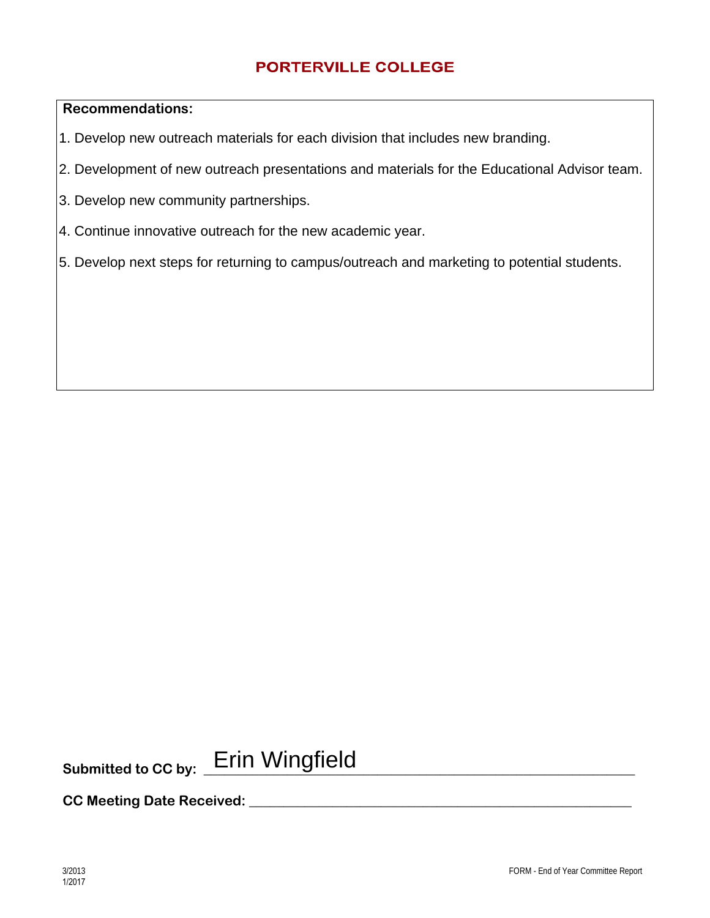#### **Recommendations:**

- 1. Develop new outreach materials for each division that includes new branding.
- 2. Development of new outreach presentations and materials for the Educational Advisor team.
- 3. Develop new community partnerships.
- 4. Continue innovative outreach for the new academic year.
- 5. Develop next steps for returning to campus/outreach and marketing to potential students.

Submitted to CC by: Erin Wingfield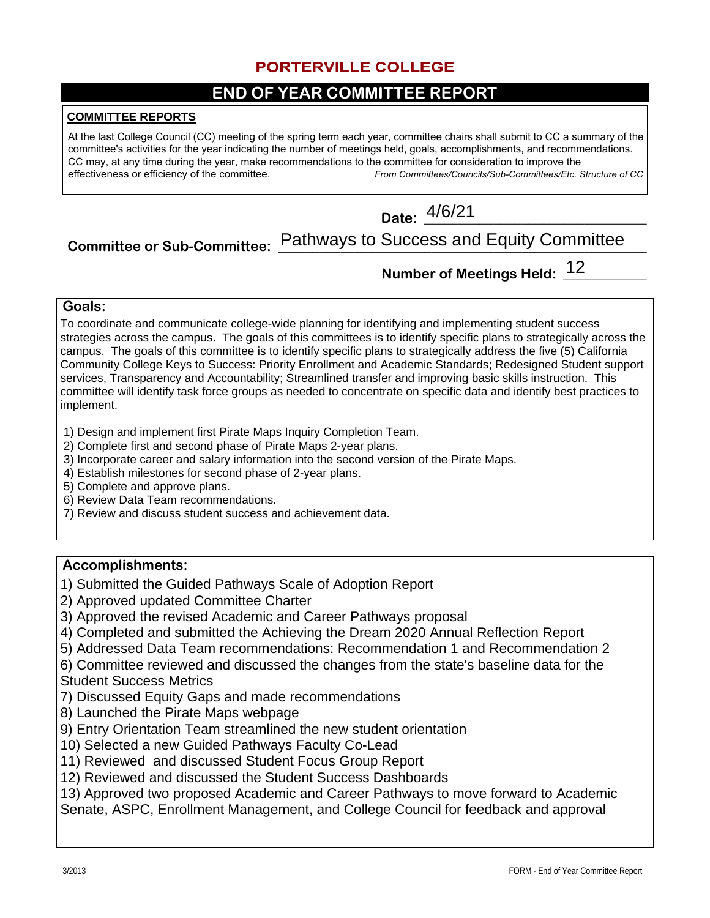## **END OF YEAR COMMITTEE REPORT**

#### **COMMITTEE REPORTS**

At the last College Council (CC) meeting of the spring term each year, committee chairs shall submit to CC a summary of the committee's activities for the year indicating the number of meetings held, goals, accomplishments, and recommendations. CC may, at any time during the year, make recommendations to the committee for consideration to improve the effectiveness or efficiency of the committee. *From Committees/Councils/Sub-Committees/Etc. Structure of CC*

**Date: \_\_\_\_\_\_\_\_\_\_\_\_\_\_\_\_\_\_\_\_\_\_\_\_\_\_\_\_\_\_\_\_**  4/6/21

## Committee or Sub-Committee: Pathways to Success and Equity Committee

## Number of Meetings Held: <sup>12</sup>

#### **Goals:**

To coordinate and communicate college-wide planning for identifying and implementing student success strategies across the campus. The goals of this committees is to identify specific plans to strategically across the campus. The goals of this committee is to identify specific plans to strategically address the five (5) California Community College Keys to Success: Priority Enrollment and Academic Standards; Redesigned Student support services, Transparency and Accountability; Streamlined transfer and improving basic skills instruction. This committee will identify task force groups as needed to concentrate on specific data and identify best practices to implement.

- 1) Design and implement first Pirate Maps Inquiry Completion Team.
- 2) Complete first and second phase of Pirate Maps 2-year plans.
- 3) Incorporate career and salary information into the second version of the Pirate Maps.
- 4) Establish milestones for second phase of 2-year plans.
- 5) Complete and approve plans.
- 6) Review Data Team recommendations.
- 7) Review and discuss student success and achievement data.

#### **Accomplishments:**

- 1) Submitted the Guided Pathways Scale of Adoption Report
- 2) Approved updated Committee Charter
- 3) Approved the revised Academic and Career Pathways proposal
- 4) Completed and submitted the Achieving the Dream 2020 Annual Reflection Report
- 5) Addressed Data Team recommendations: Recommendation 1 and Recommendation 2
- 6) Committee reviewed and discussed the changes from the state's baseline data for the

Student Success Metrics

- 7) Discussed Equity Gaps and made recommendations
- 8) Launched the Pirate Maps webpage
- 9) Entry Orientation Team streamlined the new student orientation
- 10) Selected a new Guided Pathways Faculty Co-Lead
- 11) Reviewed and discussed Student Focus Group Report
- 12) Reviewed and discussed the Student Success Dashboards

13) Approved two proposed Academic and Career Pathways to move forward to Academic

Senate, ASPC, Enrollment Management, and College Council for feedback and approval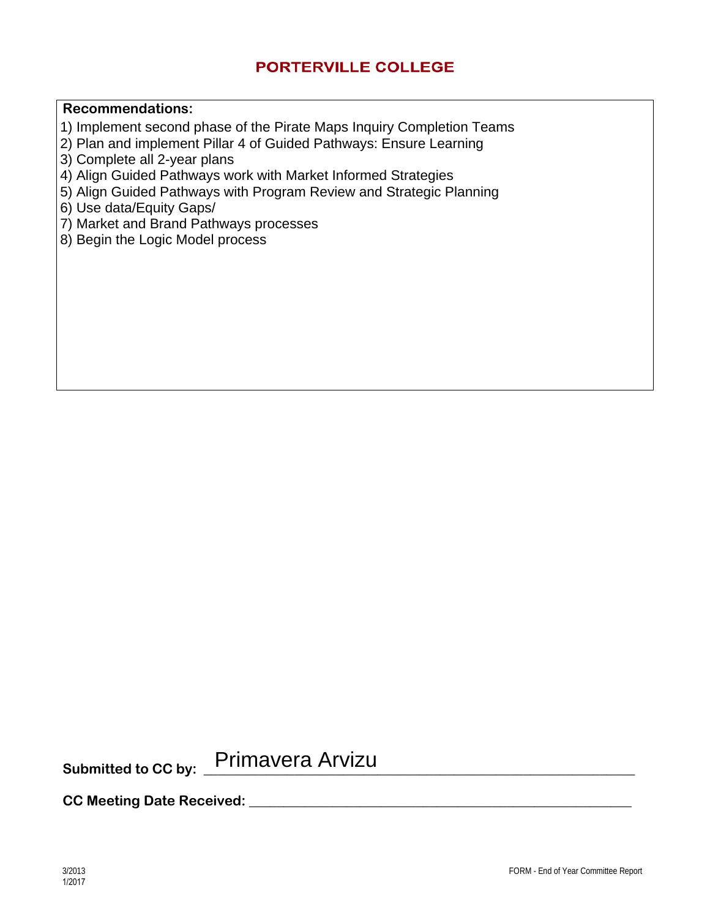#### **Recommendations:**

- 1) Implement second phase of the Pirate Maps Inquiry Completion Teams
- 2) Plan and implement Pillar 4 of Guided Pathways: Ensure Learning
- 3) Complete all 2-year plans
- 4) Align Guided Pathways work with Market Informed Strategies
- 5) Align Guided Pathways with Program Review and Strategic Planning
- 6) Use data/Equity Gaps/
- 7) Market and Brand Pathways processes
- 8) Begin the Logic Model process

Submitted to CC by: Primavera Arvizu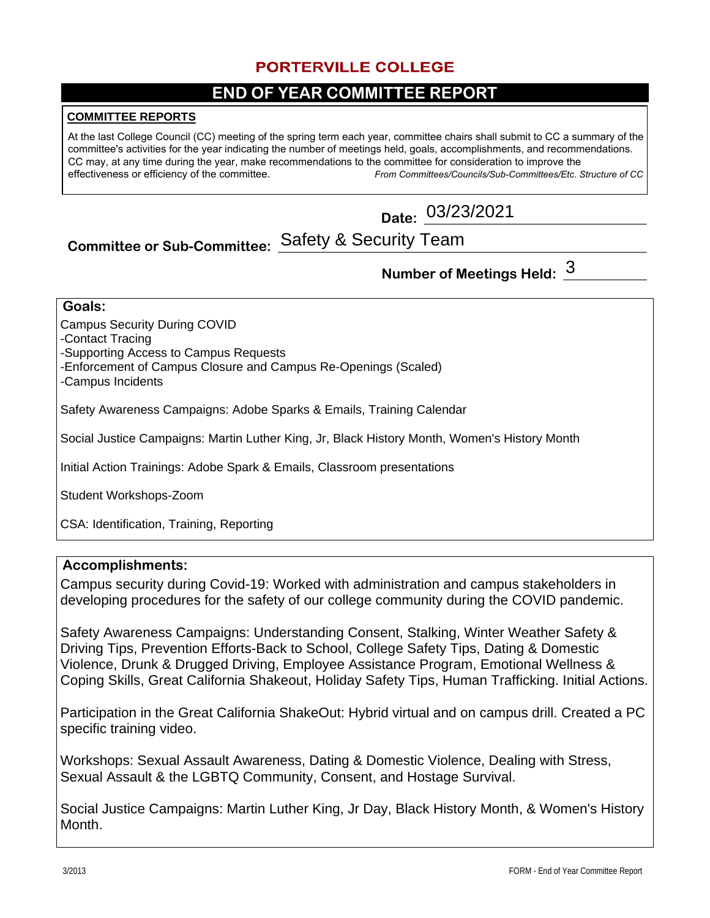## **END OF YEAR COMMITTEE REPORT**

#### **COMMITTEE REPORTS**

At the last College Council (CC) meeting of the spring term each year, committee chairs shall submit to CC a summary of the committee's activities for the year indicating the number of meetings held, goals, accomplishments, and recommendations. CC may, at any time during the year, make recommendations to the committee for consideration to improve the effectiveness or efficiency of the committee. *From Committees/Councils/Sub-Committees/Etc. Structure of CC*

**Date: \_\_\_\_\_\_\_\_\_\_\_\_\_\_\_\_\_\_\_\_\_\_\_\_\_\_\_\_\_\_\_\_**  03/23/2021

## Committee or Sub-Committee: Safety & Security Team **Committee** or Sub-Committee:

Number of Meetings Held:  $\frac{3}{2}$ 

**Goals:**

Campus Security During COVID

-Contact Tracing

-Supporting Access to Campus Requests

-Enforcement of Campus Closure and Campus Re-Openings (Scaled)

-Campus Incidents

Safety Awareness Campaigns: Adobe Sparks & Emails, Training Calendar

Social Justice Campaigns: Martin Luther King, Jr, Black History Month, Women's History Month

Initial Action Trainings: Adobe Spark & Emails, Classroom presentations

Student Workshops-Zoom

CSA: Identification, Training, Reporting

#### **Accomplishments:**

Campus security during Covid-19: Worked with administration and campus stakeholders in developing procedures for the safety of our college community during the COVID pandemic.

Safety Awareness Campaigns: Understanding Consent, Stalking, Winter Weather Safety & Driving Tips, Prevention Efforts-Back to School, College Safety Tips, Dating & Domestic Violence, Drunk & Drugged Driving, Employee Assistance Program, Emotional Wellness & Coping Skills, Great California Shakeout, Holiday Safety Tips, Human Trafficking. Initial Actions.

Participation in the Great California ShakeOut: Hybrid virtual and on campus drill. Created a PC specific training video.

Workshops: Sexual Assault Awareness, Dating & Domestic Violence, Dealing with Stress, Sexual Assault & the LGBTQ Community, Consent, and Hostage Survival.

Social Justice Campaigns: Martin Luther King, Jr Day, Black History Month, & Women's History Month.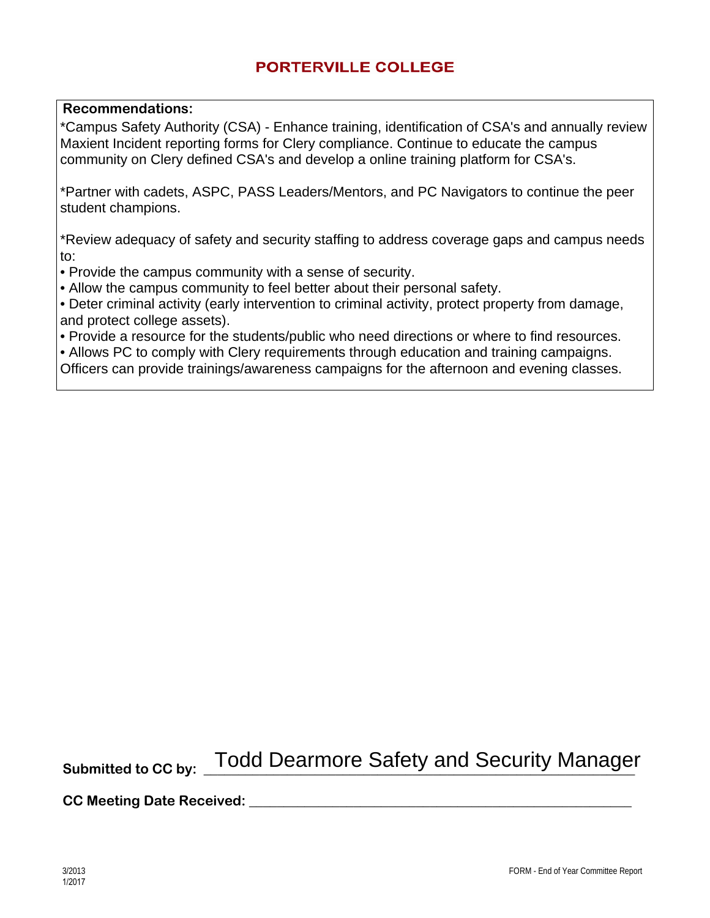#### **Recommendations:**

\*Campus Safety Authority (CSA) - Enhance training, identification of CSA's and annually review Maxient Incident reporting forms for Clery compliance. Continue to educate the campus community on Clery defined CSA's and develop a online training platform for CSA's.

\*Partner with cadets, ASPC, PASS Leaders/Mentors, and PC Navigators to continue the peer student champions.

\*Review adequacy of safety and security staffing to address coverage gaps and campus needs to:

• Provide the campus community with a sense of security.

• Allow the campus community to feel better about their personal safety.

- Deter criminal activity (early intervention to criminal activity, protect property from damage, and protect college assets).
- Provide a resource for the students/public who need directions or where to find resources.

• Allows PC to comply with Clery requirements through education and training campaigns.

Officers can provide trainings/awareness campaigns for the afternoon and evening classes.

Submitted to CC by: Todd Dearmore Safety and Security Manager

CC Meeting Date Received: \_\_\_\_\_\_\_\_\_\_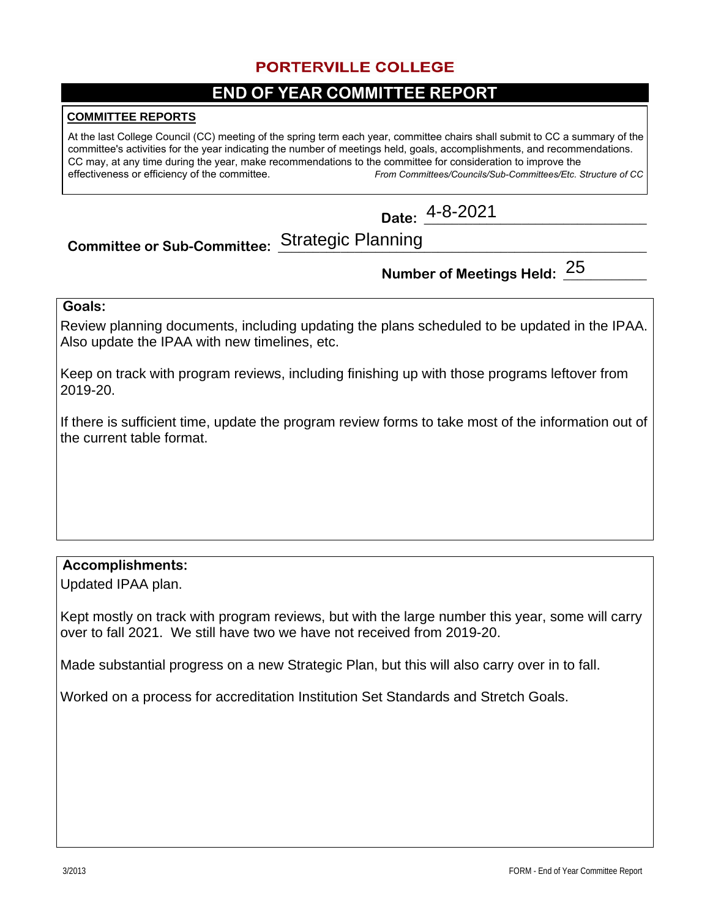## **END OF YEAR COMMITTEE REPORT**

#### **COMMITTEE REPORTS**

At the last College Council (CC) meeting of the spring term each year, committee chairs shall submit to CC a summary of the committee's activities for the year indicating the number of meetings held, goals, accomplishments, and recommendations. CC may, at any time during the year, make recommendations to the committee for consideration to improve the effectiveness or efficiency of the committee. *From Committees/Councils/Sub-Committees/Etc. Structure of CC*

**Date: \_\_\_\_\_\_\_\_\_\_\_\_\_\_\_\_\_\_\_\_\_\_\_\_\_\_\_\_\_\_\_\_**  4-8-2021

## **Committee or Sub-Committee: \_\_\_\_\_\_\_\_\_\_\_\_\_\_\_\_\_\_\_\_\_\_\_\_\_\_\_\_\_\_\_\_\_\_\_\_\_\_\_\_\_\_\_\_\_\_\_\_\_\_\_\_\_**  Strategic Planning

## Number of Meetings Held: 25

**Goals:**

Review planning documents, including updating the plans scheduled to be updated in the IPAA. Also update the IPAA with new timelines, etc.

Keep on track with program reviews, including finishing up with those programs leftover from 2019-20.

If there is sufficient time, update the program review forms to take most of the information out of the current table format.

#### **Accomplishments:**

Updated IPAA plan.

Kept mostly on track with program reviews, but with the large number this year, some will carry over to fall 2021. We still have two we have not received from 2019-20.

Made substantial progress on a new Strategic Plan, but this will also carry over in to fall.

Worked on a process for accreditation Institution Set Standards and Stretch Goals.